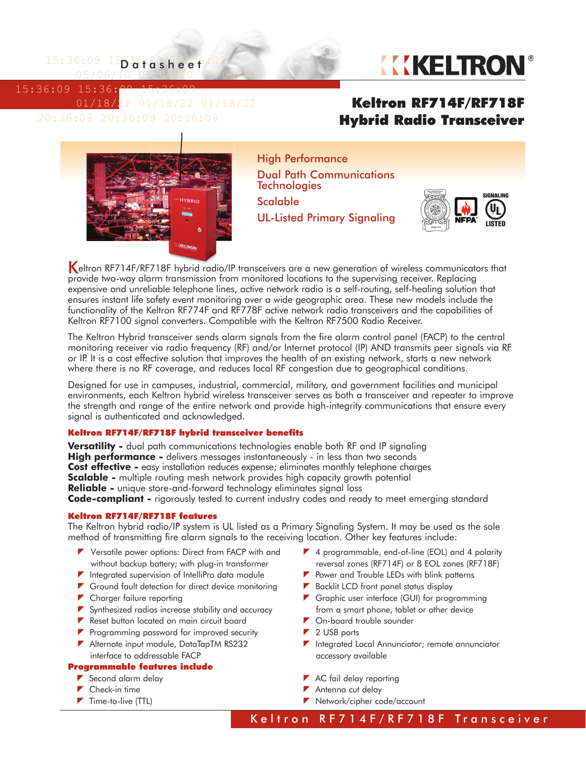$15:36:09$   $15$  $03$ fdsheef:09 05/06/10 05/06/10 05/06/10

15:36:09 15:36:09 15:36:09



 01/18/22 01/18/22 01/18/22 20:36:09 20:36:09 20:36:09

## Keltron RF714F/RF718F Hybrid Radio Transceiver



High Performance Dual Path Communications **Technologies** Scalable UL-Listed Primary Signaling



Keltron RF714F/RF718F hybrid radio/IP transceivers are a new generation of wireless communicators that provide two-way alarm transmission from monitored locations to the supervising receiver. Replacing expensive and unreliable telephone lines, active network radio is a self-routing, self-healing solution that ensures instant life safety event monitoring over a wide geographic area. These new models include the functionality of the Keltron RF774F and RF778F active network radio transceivers and the capabilities of Keltron RF7100 signal converters. Compatible with the Keltron RF7500 Radio Receiver.

The Keltron Hybrid transceiver sends alarm signals from the fire alarm control panel (FACP) to the central monitoring receiver via radio frequency (RF) and/or Internet protocol (IP) AND transmits peer signals via RF or IP. It is a cost effective solution that improves the health of an existing network, starts a new network where there is no RF coverage, and reduces local RF congestion due to geographical conditions.

Designed for use in campuses, industrial, commercial, military, and government facilities and municipal environments, each Keltron hybrid wireless transceiver serves as both a transceiver and repeater to improve the strength and range of the entire network and provide high-integrity communications that ensure every signal is authenticated and acknowledged.

## Keltron RF714F/RF718F hybrid transceiver benefits

**Versatility -** dual path communications technologies enable both RF and IP signaling **High performance -** delivers messages instantaneously - in less than two seconds **Cost effective -** easy installation reduces expense; eliminates monthly telephone charges **Scalable -** multiple routing mesh network provides high capacity growth potential **Reliable -** unique store-and-forward technology eliminates signal loss **Code-compliant -** rigorously tested to current industry codes and ready to meet emerging standard

### Keltron RF714F/RF718F features

The Keltron hybrid radio/IP system is UL listed as a Primary Signaling System. It may be used as the sole method of transmitting fire alarm signals to the receiving location. Other key features include:

- **V** Versatile power options: Direct from FACP with and without backup battery; with plug-in transformer
- $\blacktriangleright$  Integrated supervision of IntelliPro data module
- Ground fault detection for direct device monitoring
- Charger failure reporting
- Synthesized radios increase stability and accuracy
- Reset button located on main circuit board
- **Programming password for improved security**
- Alternate input module, DataTapTM RS232 interface to addressable FACP

#### Programmable features include

- Second alarm delay
- $\blacktriangleright$  Check-in time
- $\blacktriangleright$  Time-to-live (TTL)
- ▼ 4 programmable, end-of-line (EOL) and 4 polarity reversal zones (RF714F) or 8 EOL zones (RF718F)
- $\blacktriangleright$  Power and Trouble LEDs with blink patterns
- ▶ Backlit LCD front panel status display
- Graphic user interface (GUI) for programming from a smart phone, tablet or other device
- **7** On-board trouble sounder
- $\blacktriangleright$  2 USB ports
- Integrated Local Annunciator; remote annunciator accessory available
- AC fail delay reporting
- Antenna cut delay
- Network/cipher code/account